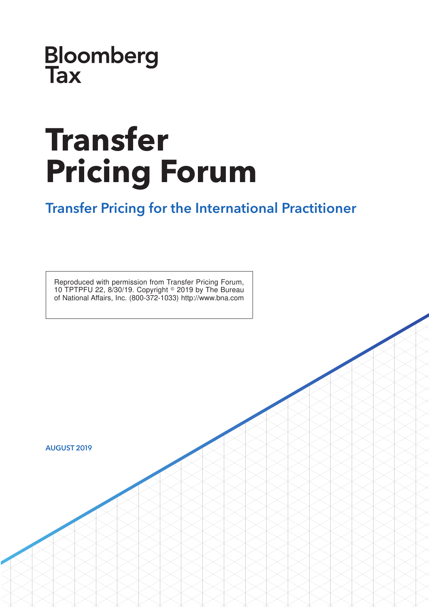**Bloomberg**<br>Tax

# **Transfer Pricing Forum**

### Transfer Pricing for the International Practitioner

Reproduced with permission from Transfer Pricing Forum, 10 TPTPFU 22, 8/30/19. Copyright  $\textdegree$  2019 by The Bureau of National Affairs, Inc. (800-372-1033) http://www.bna.com

AUGUST 2019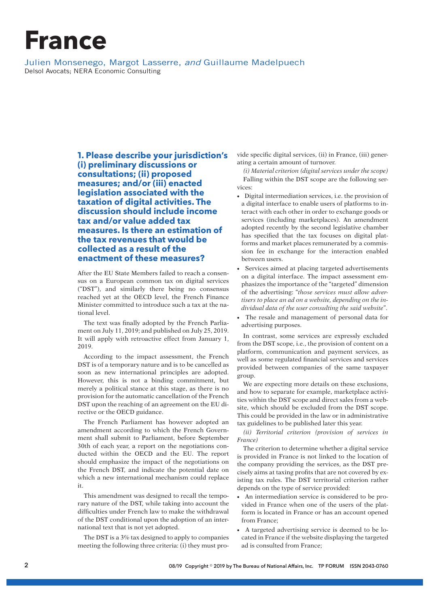## **France**

Julien Monsenego, Margot Lasserre, and Guillaume Madelpuech Delsol Avocats; NERA Economic Consulting

> **1. Please describe your jurisdiction's (i) preliminary discussions or consultations; (ii) proposed measures; and/or (iii) enacted legislation associated with the taxation of digital activities. The discussion should include income tax and/or value added tax measures. Is there an estimation of the tax revenues that would be collected as a result of the enactment of these measures?**

> After the EU State Members failed to reach a consensus on a European common tax on digital services (''DST''), and similarly there being no consensus reached yet at the OECD level, the French Finance Minister committed to introduce such a tax at the national level.

> The text was finally adopted by the French Parliament on July 11, 2019; and published on July 25, 2019. It will apply with retroactive effect from January 1, 2019.

> According to the impact assessment, the French DST is of a temporary nature and is to be cancelled as soon as new international principles are adopted. However, this is not a binding commitment, but merely a political stance at this stage, as there is no provision for the automatic cancellation of the French DST upon the reaching of an agreement on the EU directive or the OECD guidance.

> The French Parliament has however adopted an amendment according to which the French Government shall submit to Parliament, before September 30th of each year, a report on the negotiations conducted within the OECD and the EU. The report should emphasize the impact of the negotiations on the French DST, and indicate the potential date on which a new international mechanism could replace it.

> This amendment was designed to recall the temporary nature of the DST, while taking into account the difficulties under French law to make the withdrawal of the DST conditional upon the adoption of an international text that is not yet adopted.

> The DST is a 3% tax designed to apply to companies meeting the following three criteria: (i) they must pro

vide specific digital services, (ii) in France, (iii) generating a certain amount of turnover.

*(i) Material criterion (digital services under the scope)* Falling within the DST scope are the following services:

- Digital intermediation services, i.e. the provision of a digital interface to enable users of platforms to interact with each other in order to exchange goods or services (including marketplaces). An amendment adopted recently by the second legislative chamber has specified that the tax focuses on digital platforms and market places remunerated by a commission fee in exchange for the interaction enabled between users.
- Services aimed at placing targeted advertisements on a digital interface. The impact assessment emphasizes the importance of the ''targeted'' dimension of the advertising: ''*those services must allow advertisers to place an ad on a website, depending on the individual data of the user consulting the said website*''.
- The resale and management of personal data for advertising purposes.

In contrast, some services are expressly excluded from the DST scope, i.e., the provision of content on a platform, communication and payment services, as well as some regulated financial services and services provided between companies of the same taxpayer group.

We are expecting more details on these exclusions, and how to separate for example, marketplace activities within the DST scope and direct sales from a website, which should be excluded from the DST scope. This could be provided in the law or in administrative tax guidelines to be published later this year.

*(ii) Territorial criterion (provision of services in France)*

The criterion to determine whether a digital service is provided in France is not linked to the location of the company providing the services, as the DST precisely aims at taxing profits that are not covered by existing tax rules. The DST territorial criterion rather depends on the type of service provided:

- An intermediation service is considered to be provided in France when one of the users of the platform is located in France or has an account opened from France;
- A targeted advertising service is deemed to be located in France if the website displaying the targeted ad is consulted from France;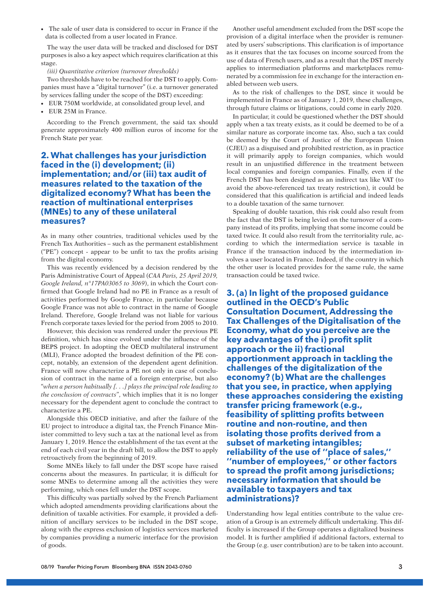• The sale of user data is considered to occur in France if the data is collected from a user located in France.

The way the user data will be tracked and disclosed for DST purposes is also a key aspect which requires clarification at this stage.

#### *(iii) Quantitative criterion (turnover thresholds)*

Two thresholds have to be reached for the DST to apply. Companies must have a ''digital turnover'' (i.e. a turnover generated by services falling under the scope of the DST) exceeding:

- EUR 750M worldwide, at consolidated group level, and
- EUR 25M in France.

According to the French government, the said tax should generate approximately 400 million euros of income for the French State per year.

### **2. What challenges has your jurisdiction faced in the (i) development; (ii) implementation; and/or (iii) tax audit of measures related to the taxation of the digitalized economy? What has been the reaction of multinational enterprises (MNEs) to any of these unilateral measures?**

As in many other countries, traditional vehicles used by the French Tax Authorities – such as the permanent establishment (''PE'') concept - appear to be unfit to tax the profits arising from the digital economy.

This was recently evidenced by a decision rendered by the Paris Administrative Court of Appeal (*CAA Paris, 25 April 2019, Google Ireland, n°17PA03065 to 3069*), in which the Court confirmed that Google Ireland had no PE in France as a result of activities performed by Google France, in particular because Google France was not able to contract in the name of Google Ireland. Therefore, Google Ireland was not liable for various French corporate taxes levied for the period from 2005 to 2010.

However, this decision was rendered under the previous PE definition, which has since evolved under the influence of the BEPS project. In adopting the OECD multilateral instrument (MLI), France adopted the broadest definition of the PE concept, notably, an extension of the dependent agent definition. France will now characterize a PE not only in case of conclusion of contract in the name of a foreign enterprise, but also ''*when a person habitually [. . .] plays the principal role leading to the conclusion of contracts*'', which implies that it is no longer necessary for the dependent agent to conclude the contract to characterize a PE.

Alongside this OECD initiative, and after the failure of the EU project to introduce a digital tax, the French Finance Minister committed to levy such a tax at the national level as from January 1, 2019. Hence the establishment of the tax event at the end of each civil year in the draft bill, to allow the DST to apply retroactively from the beginning of 2019.

Some MNEs likely to fall under the DST scope have raised concerns about the measures. In particular, it is difficult for some MNEs to determine among all the activities they were performing, which ones fell under the DST scope.

This difficulty was partially solved by the French Parliament which adopted amendments providing clarifications about the definition of taxable activities. For example, it provided a definition of ancillary services to be included in the DST scope, along with the express exclusion of logistics services marketed by companies providing a numeric interface for the provision of goods.

Another useful amendment excluded from the DST scope the provision of a digital interface when the provider is remunerated by users' subscriptions. This clarification is of importance as it ensures that the tax focuses on income sourced from the use of data of French users, and as a result that the DST merely applies to intermediation platforms and marketplaces remunerated by a commission fee in exchange for the interaction enabled between web users.

As to the risk of challenges to the DST, since it would be implemented in France as of January 1, 2019, these challenges, through future claims or litigations, could come in early 2020.

In particular, it could be questioned whether the DST should apply when a tax treaty exists, as it could be deemed to be of a similar nature as corporate income tax. Also, such a tax could be deemed by the Court of Justice of the European Union (CJEU) as a disguised and prohibited restriction, as in practice it will primarily apply to foreign companies, which would result in an unjustified difference in the treatment between local companies and foreign companies. Finally, even if the French DST has been designed as an indirect tax like VAT (to avoid the above-referenced tax treaty restriction), it could be considered that this qualification is artificial and indeed leads to a double taxation of the same turnover.

Speaking of double taxation, this risk could also result from the fact that the DST is being levied on the turnover of a company instead of its profits, implying that some income could be taxed twice. It could also result from the territoriality rule, according to which the intermediation service is taxable in France if the transaction induced by the intermediation involves a user located in France. Indeed, if the country in which the other user is located provides for the same rule, the same transaction could be taxed twice.

**3. (a) In light of the proposed guidance outlined in the OECD's Public Consultation Document, Addressing the Tax Challenges of the Digitalisation of the Economy, what do you perceive are the key advantages of the i) profit split approach or the ii) fractional apportionment approach in tackling the challenges of the digitalization of the economy? (b) What are the challenges that you see, in practice, when applying these approaches considering the existing transfer pricing framework (e.g., feasibility of splitting profits between routine and non-routine, and then isolating those profits derived from a subset of marketing intangibles; reliability of the use of ''place of sales,'' ''number of employees,'' or other factors to spread the profit among jurisdictions; necessary information that should be available to taxpayers and tax administrations)?**

Understanding how legal entities contribute to the value creation of a Group is an extremely difficult undertaking. This difficulty is increased if the Group operates a digitalized business model. It is further amplified if additional factors, external to the Group (e.g. user contribution) are to be taken into account.